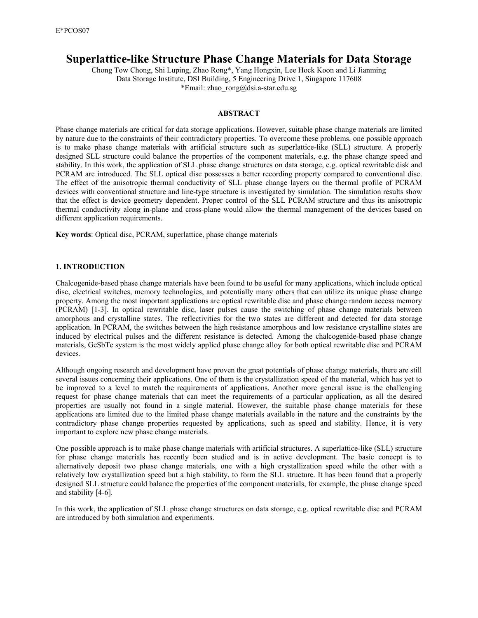# **Superlattice-like Structure Phase Change Materials for Data Storage**

Chong Tow Chong, Shi Luping, Zhao Rong\*, Yang Hongxin, Lee Hock Koon and Li Jianming Data Storage Institute, DSI Building, 5 Engineering Drive 1, Singapore 117608 \*Email: zhao\_rong@dsi.a-star.edu.sg

## **ABSTRACT**

Phase change materials are critical for data storage applications. However, suitable phase change materials are limited by nature due to the constraints of their contradictory properties. To overcome these problems, one possible approach is to make phase change materials with artificial structure such as superlattice-like (SLL) structure. A properly designed SLL structure could balance the properties of the component materials, e.g. the phase change speed and stability. In this work, the application of SLL phase change structures on data storage, e.g. optical rewritable disk and PCRAM are introduced. The SLL optical disc possesses a better recording property compared to conventional disc. The effect of the anisotropic thermal conductivity of SLL phase change layers on the thermal profile of PCRAM devices with conventional structure and line-type structure is investigated by simulation. The simulation results show that the effect is device geometry dependent. Proper control of the SLL PCRAM structure and thus its anisotropic thermal conductivity along in-plane and cross-plane would allow the thermal management of the devices based on different application requirements.

**Key words**: Optical disc, PCRAM, superlattice, phase change materials

## **1. INTRODUCTION**

Chalcogenide-based phase change materials have been found to be useful for many applications, which include optical disc, electrical switches, memory technologies, and potentially many others that can utilize its unique phase change property. Among the most important applications are optical rewritable disc and phase change random access memory (PCRAM) [1-3]. In optical rewritable disc, laser pulses cause the switching of phase change materials between amorphous and crystalline states. The reflectivities for the two states are different and detected for data storage application. In PCRAM, the switches between the high resistance amorphous and low resistance crystalline states are induced by electrical pulses and the different resistance is detected. Among the chalcogenide-based phase change materials, GeSbTe system is the most widely applied phase change alloy for both optical rewritable disc and PCRAM devices.

Although ongoing research and development have proven the great potentials of phase change materials, there are still several issues concerning their applications. One of them is the crystallization speed of the material, which has yet to be improved to a level to match the requirements of applications. Another more general issue is the challenging request for phase change materials that can meet the requirements of a particular application, as all the desired properties are usually not found in a single material. However, the suitable phase change materials for these applications are limited due to the limited phase change materials available in the nature and the constraints by the contradictory phase change properties requested by applications, such as speed and stability. Hence, it is very important to explore new phase change materials.

One possible approach is to make phase change materials with artificial structures. A superlattice-like (SLL) structure for phase change materials has recently been studied and is in active development. The basic concept is to alternatively deposit two phase change materials, one with a high crystallization speed while the other with a relatively low crystallization speed but a high stability, to form the SLL structure. It has been found that a properly designed SLL structure could balance the properties of the component materials, for example, the phase change speed and stability [4-6].

In this work, the application of SLL phase change structures on data storage, e.g. optical rewritable disc and PCRAM are introduced by both simulation and experiments.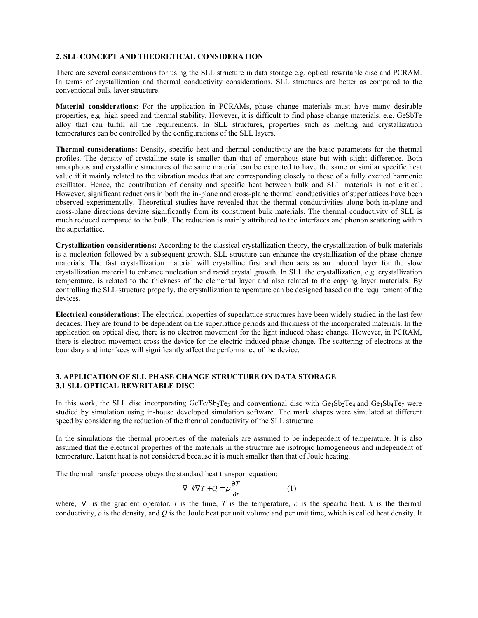## **2. SLL CONCEPT AND THEORETICAL CONSIDERATION**

There are several considerations for using the SLL structure in data storage e.g. optical rewritable disc and PCRAM. In terms of crystallization and thermal conductivity considerations, SLL structures are better as compared to the conventional bulk-layer structure.

**Material considerations:** For the application in PCRAMs, phase change materials must have many desirable properties, e.g. high speed and thermal stability. However, it is difficult to find phase change materials, e.g. GeSbTe alloy that can fulfill all the requirements. In SLL structures, properties such as melting and crystallization temperatures can be controlled by the configurations of the SLL layers.

**Thermal considerations:** Density, specific heat and thermal conductivity are the basic parameters for the thermal profiles. The density of crystalline state is smaller than that of amorphous state but with slight difference. Both amorphous and crystalline structures of the same material can be expected to have the same or similar specific heat value if it mainly related to the vibration modes that are corresponding closely to those of a fully excited harmonic oscillator. Hence, the contribution of density and specific heat between bulk and SLL materials is not critical. However, significant reductions in both the in-plane and cross-plane thermal conductivities of superlattices have been observed experimentally. Theoretical studies have revealed that the thermal conductivities along both in-plane and cross-plane directions deviate significantly from its constituent bulk materials. The thermal conductivity of SLL is much reduced compared to the bulk. The reduction is mainly attributed to the interfaces and phonon scattering within the superlattice.

**Crystallization considerations:** According to the classical crystallization theory, the crystallization of bulk materials is a nucleation followed by a subsequent growth. SLL structure can enhance the crystallization of the phase change materials. The fast crystallization material will crystalline first and then acts as an induced layer for the slow crystallization material to enhance nucleation and rapid crystal growth. In SLL the crystallization, e.g. crystallization temperature, is related to the thickness of the elemental layer and also related to the capping layer materials. By controlling the SLL structure properly, the crystallization temperature can be designed based on the requirement of the devices.

**Electrical considerations:** The electrical properties of superlattice structures have been widely studied in the last few decades. They are found to be dependent on the superlattice periods and thickness of the incorporated materials. In the application on optical disc, there is no electron movement for the light induced phase change. However, in PCRAM, there is electron movement cross the device for the electric induced phase change. The scattering of electrons at the boundary and interfaces will significantly affect the performance of the device.

#### **3. APPLICATION OF SLL PHASE CHANGE STRUCTURE ON DATA STORAGE 3.1 SLL OPTICAL REWRITABLE DISC**

In this work, the SLL disc incorporating GeTe/Sb<sub>2</sub>Te<sub>3</sub> and conventional disc with  $Ge_1Sb_2Te_4$  and  $Ge_1Sb_4Te_7$  were studied by simulation using in-house developed simulation software. The mark shapes were simulated at different speed by considering the reduction of the thermal conductivity of the SLL structure.

In the simulations the thermal properties of the materials are assumed to be independent of temperature. It is also assumed that the electrical properties of the materials in the structure are isotropic homogeneous and independent of temperature. Latent heat is not considered because it is much smaller than that of Joule heating.

The thermal transfer process obeys the standard heat transport equation:

$$
\nabla \cdot k \nabla T + Q = \rho \frac{\partial T}{\partial t}
$$
 (1)

where,  $\nabla$  is the gradient operator, *t* is the time, *T* is the temperature, *c* is the specific heat, *k* is the thermal conductivity, *ρ* is the density, and *Q* is the Joule heat per unit volume and per unit time, which is called heat density. It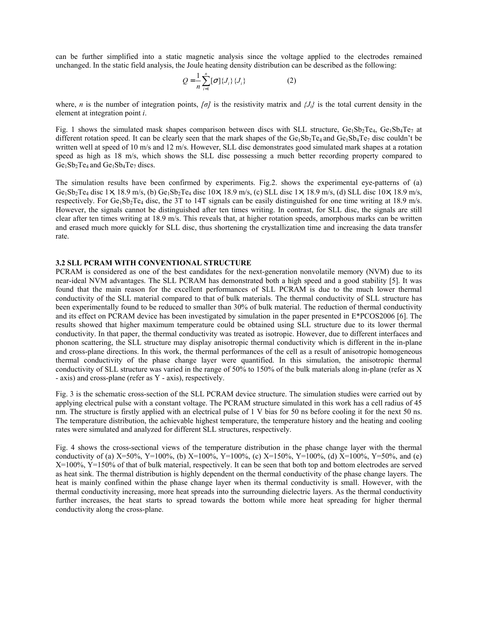can be further simplified into a static magnetic analysis since the voltage applied to the electrodes remained unchanged. In the static field analysis, the Joule heating density distribution can be described as the following:

$$
Q = \frac{1}{n} \sum_{i=1}^{n} [\sigma] \{J_i\} \{J_i\}
$$
 (2)

where, *n* is the number of integration points, *[σ]* is the resistivity matrix and *{Ji}* is the total current density in the element at integration point *i*.

Fig. 1 shows the simulated mask shapes comparison between discs with SLL structure,  $Ge_1Sb_2Te_4$ ,  $Ge_1Sb_4Te_7$  at different rotation speed. It can be clearly seen that the mark shapes of the  $Ge_1Sb_2Te_4$  and  $Ge_1Sb_4Te_7$  disc couldn't be written well at speed of 10 m/s and 12 m/s. However, SLL disc demonstrates good simulated mark shapes at a rotation speed as high as 18 m/s, which shows the SLL disc possessing a much better recording property compared to  $Ge_1Sb_2Te_4$  and  $Ge_1Sb_4Te_7$  discs.

The simulation results have been confirmed by experiments. Fig.2. shows the experimental eye-patterns of (a) Ge<sub>1</sub>Sb<sub>2</sub>Te<sub>4</sub> disc 1×, 18.9 m/s, (b) Ge<sub>1</sub>Sb<sub>2</sub>Te<sub>4</sub> disc 10×, 18.9 m/s, (c) SLL disc 1×, 18.9 m/s, (d) SLL disc 10×, 18.9 m/s, respectively. For Ge<sub>1</sub>Sb<sub>2</sub>Te<sub>4</sub> disc, the 3T to 14T signals can be easily distinguished for one time writing at 18.9 m/s. However, the signals cannot be distinguished after ten times writing. In contrast, for SLL disc, the signals are still clear after ten times writing at 18.9 m/s. This reveals that, at higher rotation speeds, amorphous marks can be written and erased much more quickly for SLL disc, thus shortening the crystallization time and increasing the data transfer rate.

#### **3.2 SLL PCRAM WITH CONVENTIONAL STRUCTURE**

PCRAM is considered as one of the best candidates for the next-generation nonvolatile memory (NVM) due to its near-ideal NVM advantages. The SLL PCRAM has demonstrated both a high speed and a good stability [5]. It was found that the main reason for the excellent performances of SLL PCRAM is due to the much lower thermal conductivity of the SLL material compared to that of bulk materials. The thermal conductivity of SLL structure has been experimentally found to be reduced to smaller than 30% of bulk material. The reduction of thermal conductivity and its effect on PCRAM device has been investigated by simulation in the paper presented in E\*PCOS2006 [6]. The results showed that higher maximum temperature could be obtained using SLL structure due to its lower thermal conductivity. In that paper, the thermal conductivity was treated as isotropic. However, due to different interfaces and phonon scattering, the SLL structure may display anisotropic thermal conductivity which is different in the in-plane and cross-plane directions. In this work, the thermal performances of the cell as a result of anisotropic homogeneous thermal conductivity of the phase change layer were quantified. In this simulation, the anisotropic thermal conductivity of SLL structure was varied in the range of 50% to 150% of the bulk materials along in-plane (refer as X - axis) and cross-plane (refer as Y - axis), respectively.

Fig. 3 is the schematic cross-section of the SLL PCRAM device structure. The simulation studies were carried out by applying electrical pulse with a constant voltage. The PCRAM structure simulated in this work has a cell radius of 45 nm. The structure is firstly applied with an electrical pulse of 1 V bias for 50 ns before cooling it for the next 50 ns. The temperature distribution, the achievable highest temperature, the temperature history and the heating and cooling rates were simulated and analyzed for different SLL structures, respectively.

Fig. 4 shows the cross-sectional views of the temperature distribution in the phase change layer with the thermal conductivity of (a)  $X=50\%$ , Y=100%, (b)  $X=100\%$ , Y=100%, (c)  $X=150\%$ , Y=100%, (d)  $X=100\%$ , Y=50%, and (e)  $X=100\%$ ,  $Y=150\%$  of that of bulk material, respectively. It can be seen that both top and bottom electrodes are served as heat sink. The thermal distribution is highly dependent on the thermal conductivity of the phase change layers. The heat is mainly confined within the phase change layer when its thermal conductivity is small. However, with the thermal conductivity increasing, more heat spreads into the surrounding dielectric layers. As the thermal conductivity further increases, the heat starts to spread towards the bottom while more heat spreading for higher thermal conductivity along the cross-plane.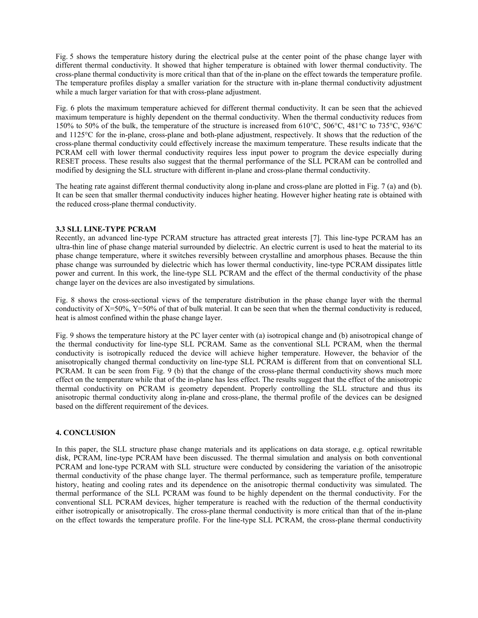Fig. 5 shows the temperature history during the electrical pulse at the center point of the phase change layer with different thermal conductivity. It showed that higher temperature is obtained with lower thermal conductivity. The cross-plane thermal conductivity is more critical than that of the in-plane on the effect towards the temperature profile. The temperature profiles display a smaller variation for the structure with in-plane thermal conductivity adjustment while a much larger variation for that with cross-plane adjustment.

Fig. 6 plots the maximum temperature achieved for different thermal conductivity. It can be seen that the achieved maximum temperature is highly dependent on the thermal conductivity. When the thermal conductivity reduces from 150% to 50% of the bulk, the temperature of the structure is increased from 610°C, 506°C, 481°C to 735°C, 936°C and 1125°C for the in-plane, cross-plane and both-plane adjustment, respectively. It shows that the reduction of the cross-plane thermal conductivity could effectively increase the maximum temperature. These results indicate that the PCRAM cell with lower thermal conductivity requires less input power to program the device especially during RESET process. These results also suggest that the thermal performance of the SLL PCRAM can be controlled and modified by designing the SLL structure with different in-plane and cross-plane thermal conductivity.

The heating rate against different thermal conductivity along in-plane and cross-plane are plotted in Fig. 7 (a) and (b). It can be seen that smaller thermal conductivity induces higher heating. However higher heating rate is obtained with the reduced cross-plane thermal conductivity.

## **3.3 SLL LINE-TYPE PCRAM**

Recently, an advanced line-type PCRAM structure has attracted great interests [7]. This line-type PCRAM has an ultra-thin line of phase change material surrounded by dielectric. An electric current is used to heat the material to its phase change temperature, where it switches reversibly between crystalline and amorphous phases. Because the thin phase change was surrounded by dielectric which has lower thermal conductivity, line-type PCRAM dissipates little power and current. In this work, the line-type SLL PCRAM and the effect of the thermal conductivity of the phase change layer on the devices are also investigated by simulations.

Fig. 8 shows the cross-sectional views of the temperature distribution in the phase change layer with the thermal conductivity of  $X=50\%$ ,  $Y=50\%$  of that of bulk material. It can be seen that when the thermal conductivity is reduced, heat is almost confined within the phase change layer.

Fig. 9 shows the temperature history at the PC layer center with (a) isotropical change and (b) anisotropical change of the thermal conductivity for line-type SLL PCRAM. Same as the conventional SLL PCRAM, when the thermal conductivity is isotropically reduced the device will achieve higher temperature. However, the behavior of the anisotropically changed thermal conductivity on line-type SLL PCRAM is different from that on conventional SLL PCRAM. It can be seen from Fig. 9 (b) that the change of the cross-plane thermal conductivity shows much more effect on the temperature while that of the in-plane has less effect. The results suggest that the effect of the anisotropic thermal conductivity on PCRAM is geometry dependent. Properly controlling the SLL structure and thus its anisotropic thermal conductivity along in-plane and cross-plane, the thermal profile of the devices can be designed based on the different requirement of the devices.

## **4. CONCLUSION**

In this paper, the SLL structure phase change materials and its applications on data storage, e.g. optical rewritable disk, PCRAM, line-type PCRAM have been discussed. The thermal simulation and analysis on both conventional PCRAM and lone-type PCRAM with SLL structure were conducted by considering the variation of the anisotropic thermal conductivity of the phase change layer. The thermal performance, such as temperature profile, temperature history, heating and cooling rates and its dependence on the anisotropic thermal conductivity was simulated. The thermal performance of the SLL PCRAM was found to be highly dependent on the thermal conductivity. For the conventional SLL PCRAM devices, higher temperature is reached with the reduction of the thermal conductivity either isotropically or anisotropically. The cross-plane thermal conductivity is more critical than that of the in-plane on the effect towards the temperature profile. For the line-type SLL PCRAM, the cross-plane thermal conductivity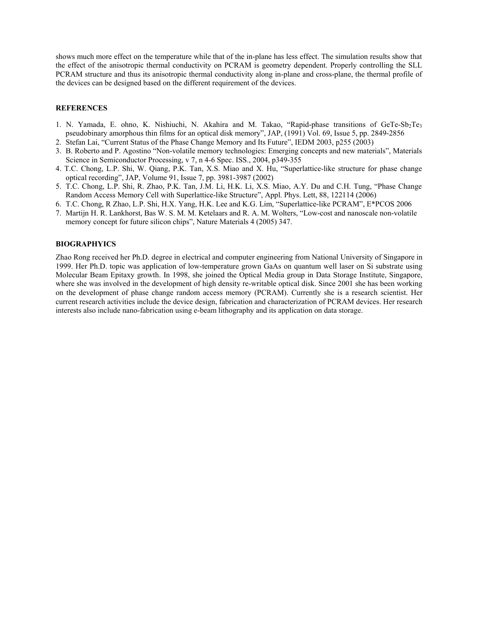shows much more effect on the temperature while that of the in-plane has less effect. The simulation results show that the effect of the anisotropic thermal conductivity on PCRAM is geometry dependent. Properly controlling the SLL PCRAM structure and thus its anisotropic thermal conductivity along in-plane and cross-plane, the thermal profile of the devices can be designed based on the different requirement of the devices.

## **REFERENCES**

- 1. N. Yamada, E. ohno, K. Nishiuchi, N. Akahira and M. Takao, "Rapid-phase transitions of GeTe-Sb<sub>2</sub>Te<sub>3</sub> pseudobinary amorphous thin films for an optical disk memory", JAP, (1991) Vol. 69, Issue 5, pp. 2849-2856
- 2. Stefan Lai, "Current Status of the Phase Change Memory and Its Future", IEDM 2003, p255 (2003)
- 3. B. Roberto and P. Agostino "Non-volatile memory technologies: Emerging concepts and new materials", Materials Science in Semiconductor Processing, v 7, n 4-6 Spec. ISS., 2004, p349-355
- 4. T.C. Chong, L.P. Shi, W. Qiang, P.K. Tan, X.S. Miao and X. Hu, "Superlattice-like structure for phase change optical recording", JAP, Volume 91, Issue 7, pp. 3981-3987 (2002)
- 5. T.C. Chong, L.P. Shi, R. Zhao, P.K. Tan, J.M. Li, H.K. Li, X.S. Miao, A.Y. Du and C.H. Tung, "Phase Change Random Access Memory Cell with Superlattice-like Structure", Appl. Phys. Lett, 88, 122114 (2006)
- 6. T.C. Chong, R Zhao, L.P. Shi, H.X. Yang, H.K. Lee and K.G. Lim, "Superlattice-like PCRAM", E\*PCOS 2006
- 7. Martijn H. R. Lankhorst, Bas W. S. M. M. Ketelaars and R. A. M. Wolters, "Low-cost and nanoscale non-volatile memory concept for future silicon chips", Nature Materials 4 (2005) 347.

### **BIOGRAPHYICS**

Zhao Rong received her Ph.D. degree in electrical and computer engineering from National University of Singapore in 1999. Her Ph.D. topic was application of low-temperature grown GaAs on quantum well laser on Si substrate using Molecular Beam Epitaxy growth. In 1998, she joined the Optical Media group in Data Storage Institute, Singapore, where she was involved in the development of high density re-writable optical disk. Since 2001 she has been working on the development of phase change random access memory (PCRAM). Currently she is a research scientist. Her current research activities include the device design, fabrication and characterization of PCRAM devices. Her research interests also include nano-fabrication using e-beam lithography and its application on data storage.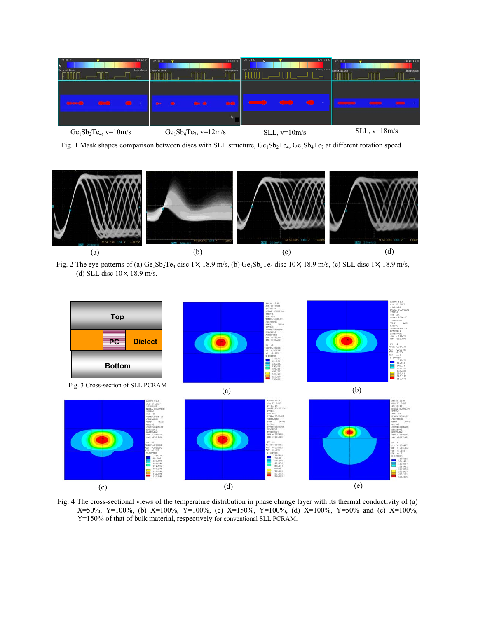

Fig. 1 Mask shapes comparison between discs with SLL structure, Ge<sub>1</sub>Sb<sub>2</sub>Te<sub>4</sub>, Ge<sub>1</sub>Sb<sub>4</sub>Te<sub>7</sub> at different rotation speed



Fig. 2 The eye-patterns of (a) Ge<sub>1</sub>Sb<sub>2</sub>Te<sub>4</sub> disc 1×, 18.9 m/s, (b) Ge<sub>1</sub>Sb<sub>2</sub>Te<sub>4</sub> disc 10×, 18.9 m/s, (c) SLL disc 1×, 18.9 m/s, (d) SLL disc 10×, 18.9 m/s.



Fig. 4 The cross-sectional views of the temperature distribution in phase change layer with its thermal conductivity of (a) X=50%, Y=100%, (b) X=100%, Y=100%, (c) X=150%, Y=100%, (d) X=100%, Y=50% and (e) X=100%, Y=150% of that of bulk material, respectively for conventional SLL PCRAM.